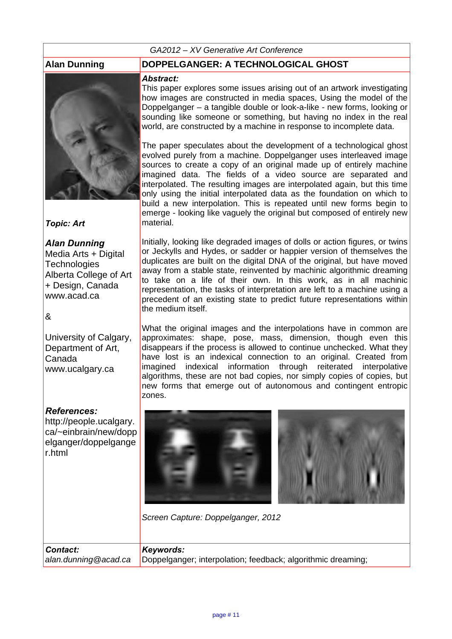### *GA2012 – XV Generative Art Conference*



*Topic: Art*

*Alan Dunning* Media Arts + Digital **Technologies** Alberta College of Art + Design, Canada www.acad.ca

&

University of Calgary, Department of Art, Canada www.ucalgary.ca

### *References:*

*Contact:*

http://people.ucalgary. ca/~einbrain/new/dopp elganger/doppelgange r.html

## **Alan Dunning DOPPELGANGER: A TECHNOLOGICAL GHOST**

### *Abstract:*

This paper explores some issues arising out of an artwork investigating how images are constructed in media spaces, Using the model of the Doppelganger – a tangible double or look-a-like - new forms, looking or sounding like someone or something, but having no index in the real world, are constructed by a machine in response to incomplete data.

The paper speculates about the development of a technological ghost evolved purely from a machine. Doppelganger uses interleaved image sources to create a copy of an original made up of entirely machine imagined data. The fields of a video source are separated and interpolated. The resulting images are interpolated again, but this time only using the initial interpolated data as the foundation on which to build a new interpolation. This is repeated until new forms begin to emerge - looking like vaguely the original but composed of entirely new material.

Initially, looking like degraded images of dolls or action figures, or twins or Jeckylls and Hydes, or sadder or happier version of themselves the duplicates are built on the digital DNA of the original, but have moved away from a stable state, reinvented by machinic algorithmic dreaming to take on a life of their own. In this work, as in all machinic representation, the tasks of interpretation are left to a machine using a precedent of an existing state to predict future representations within the medium itself.

What the original images and the interpolations have in common are approximates: shape, pose, mass, dimension, though even this disappears if the process is allowed to continue unchecked. What they have lost is an indexical connection to an original. Created from imagined indexical information through reiterated interpolative algorithms, these are not bad copies, nor simply copies of copies, but new forms that emerge out of autonomous and contingent entropic zones.



*Screen Capture: Doppelganger, 2012*

### *Keywords:*

*alan.dunning@acad.ca* Doppelganger; interpolation; feedback; algorithmic dreaming;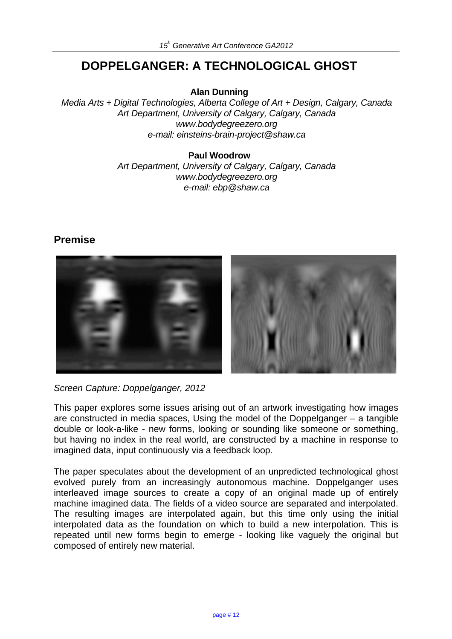# **DOPPELGANGER: A TECHNOLOGICAL GHOST**

**Alan Dunning**

*Media Arts + Digital Technologies, Alberta College of Art + Design, Calgary, Canada Art Department, University of Calgary, Calgary, Canada www.bodydegreezero.org e-mail: einsteins-brain-project@shaw.ca*

### **Paul Woodrow**

*Art Department, University of Calgary, Calgary, Canada www.bodydegreezero.org e-mail: ebp@shaw.ca*

# **Premise**



*Screen Capture: Doppelganger, 2012* 

This paper explores some issues arising out of an artwork investigating how images are constructed in media spaces, Using the model of the Doppelganger – a tangible double or look-a-like - new forms, looking or sounding like someone or something, but having no index in the real world, are constructed by a machine in response to imagined data, input continuously via a feedback loop.

The paper speculates about the development of an unpredicted technological ghost evolved purely from an increasingly autonomous machine. Doppelganger uses interleaved image sources to create a copy of an original made up of entirely machine imagined data. The fields of a video source are separated and interpolated. The resulting images are interpolated again, but this time only using the initial interpolated data as the foundation on which to build a new interpolation. This is repeated until new forms begin to emerge - looking like vaguely the original but composed of entirely new material.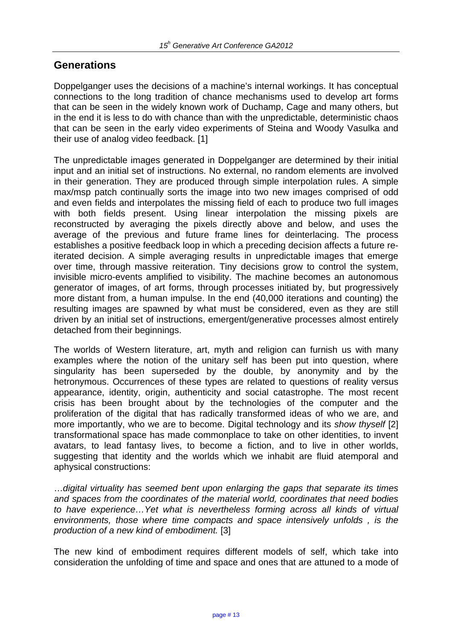# **Generations**

Doppelganger uses the decisions of a machine's internal workings. It has conceptual connections to the long tradition of chance mechanisms used to develop art forms that can be seen in the widely known work of Duchamp, Cage and many others, but in the end it is less to do with chance than with the unpredictable, deterministic chaos that can be seen in the early video experiments of Steina and Woody Vasulka and their use of analog video feedback. [1]

The unpredictable images generated in Doppelganger are determined by their initial input and an initial set of instructions. No external, no random elements are involved in their generation. They are produced through simple interpolation rules. A simple max/msp patch continually sorts the image into two new images comprised of odd and even fields and interpolates the missing field of each to produce two full images with both fields present. Using linear interpolation the missing pixels are reconstructed by averaging the pixels directly above and below, and uses the average of the previous and future frame lines for deinterlacing. The process establishes a positive feedback loop in which a preceding decision affects a future reiterated decision. A simple averaging results in unpredictable images that emerge over time, through massive reiteration. Tiny decisions grow to control the system, invisible micro-events amplified to visibility. The machine becomes an autonomous generator of images, of art forms, through processes initiated by, but progressively more distant from, a human impulse. In the end (40,000 iterations and counting) the resulting images are spawned by what must be considered, even as they are still driven by an initial set of instructions, emergent/generative processes almost entirely detached from their beginnings.

The worlds of Western literature, art, myth and religion can furnish us with many examples where the notion of the unitary self has been put into question, where singularity has been superseded by the double, by anonymity and by the hetronymous. Occurrences of these types are related to questions of reality versus appearance, identity, origin, authenticity and social catastrophe. The most recent crisis has been brought about by the technologies of the computer and the proliferation of the digital that has radically transformed ideas of who we are, and more importantly, who we are to become. Digital technology and its *show thyself* [2] transformational space has made commonplace to take on other identities, to invent avatars, to lead fantasy lives, to become a fiction, and to live in other worlds, suggesting that identity and the worlds which we inhabit are fluid atemporal and aphysical constructions:

…*digital virtuality has seemed bent upon enlarging the gaps that separate its times and spaces from the coordinates of the material world, coordinates that need bodies to have experience…Yet what is nevertheless forming across all kinds of virtual environments, those where time compacts and space intensively unfolds , is the production of a new kind of embodiment.* [3]

The new kind of embodiment requires different models of self, which take into consideration the unfolding of time and space and ones that are attuned to a mode of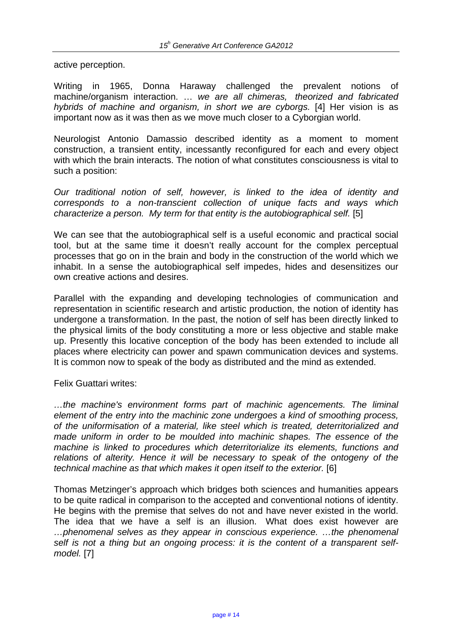active perception.

Writing in 1965, Donna Haraway challenged the prevalent notions of machine/organism interaction. … *we are all chimeras, theorized and fabricated hybrids of machine and organism, in short we are cyborgs.* [4] Her vision is as important now as it was then as we move much closer to a Cyborgian world.

Neurologist Antonio Damassio described identity as a moment to moment construction, a transient entity, incessantly reconfigured for each and every object with which the brain interacts. The notion of what constitutes consciousness is vital to such a position:

*Our traditional notion of self, however, is linked to the idea of identity and corresponds to a non-transcient collection of unique facts and ways which characterize a person. My term for that entity is the autobiographical self.* [5]

We can see that the autobiographical self is a useful economic and practical social tool, but at the same time it doesn't really account for the complex perceptual processes that go on in the brain and body in the construction of the world which we inhabit. In a sense the autobiographical self impedes, hides and desensitizes our own creative actions and desires.

Parallel with the expanding and developing technologies of communication and representation in scientific research and artistic production, the notion of identity has undergone a transformation. In the past, the notion of self has been directly linked to the physical limits of the body constituting a more or less objective and stable make up. Presently this locative conception of the body has been extended to include all places where electricity can power and spawn communication devices and systems. It is common now to speak of the body as distributed and the mind as extended.

Felix Guattari writes:

*…the machine's environment forms part of machinic agencements. The liminal element of the entry into the machinic zone undergoes a kind of smoothing process, of the uniformisation of a material, like steel which is treated, deterritorialized and made uniform in order to be moulded into machinic shapes. The essence of the machine is linked to procedures which deterritorialize its elements, functions and*  relations of alterity. Hence it will be necessary to speak of the ontogeny of the *technical machine as that which makes it open itself to the exterior.* [6]

Thomas Metzinger's approach which bridges both sciences and humanities appears to be quite radical in comparison to the accepted and conventional notions of identity. He begins with the premise that selves do not and have never existed in the world. The idea that we have a self is an illusion. What does exist however are *…phenomenal selves as they appear in conscious experience. …the phenomenal self is not a thing but an ongoing process: it is the content of a transparent selfmodel.* [7]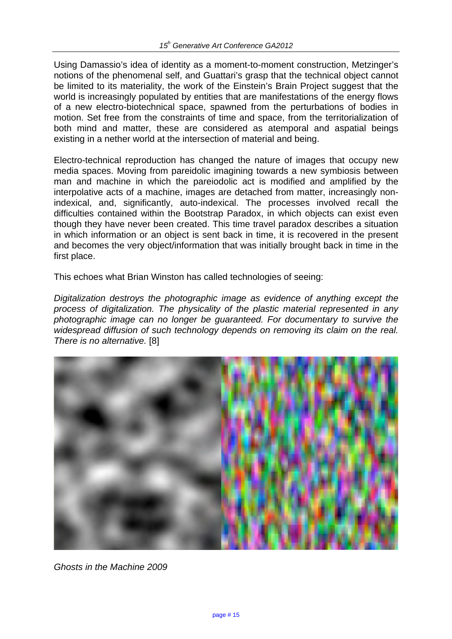Using Damassio's idea of identity as a moment-to-moment construction, Metzinger's notions of the phenomenal self, and Guattari's grasp that the technical object cannot be limited to its materiality, the work of the Einstein's Brain Project suggest that the world is increasingly populated by entities that are manifestations of the energy flows of a new electro-biotechnical space, spawned from the perturbations of bodies in motion. Set free from the constraints of time and space, from the territorialization of both mind and matter, these are considered as atemporal and aspatial beings existing in a nether world at the intersection of material and being.

Electro-technical reproduction has changed the nature of images that occupy new media spaces. Moving from pareidolic imagining towards a new symbiosis between man and machine in which the pareiodolic act is modified and amplified by the interpolative acts of a machine, images are detached from matter, increasingly nonindexical, and, significantly, auto-indexical. The processes involved recall the difficulties contained within the Bootstrap Paradox, in which objects can exist even though they have never been created. This time travel paradox describes a situation in which information or an object is sent back in time, it is recovered in the present and becomes the very object/information that was initially brought back in time in the first place.

This echoes what Brian Winston has called technologies of seeing:

*Digitalization destroys the photographic image as evidence of anything except the process of digitalization. The physicality of the plastic material represented in any photographic image can no longer be guaranteed. For documentary to survive the widespread diffusion of such technology depends on removing its claim on the real. There is no alternative.* [8]



*Ghosts in the Machine 2009*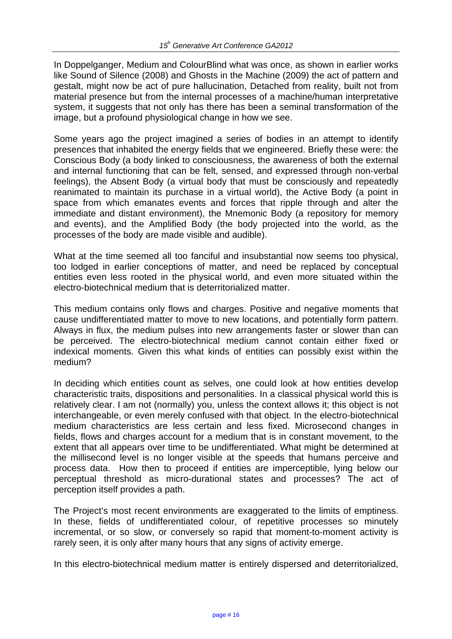In Doppelganger, Medium and ColourBlind what was once, as shown in earlier works like Sound of Silence (2008) and Ghosts in the Machine (2009) the act of pattern and gestalt, might now be act of pure hallucination, Detached from reality, built not from material presence but from the internal processes of a machine/human interpretative system, it suggests that not only has there has been a seminal transformation of the image, but a profound physiological change in how we see.

Some years ago the project imagined a series of bodies in an attempt to identify presences that inhabited the energy fields that we engineered. Briefly these were: the Conscious Body (a body linked to consciousness, the awareness of both the external and internal functioning that can be felt, sensed, and expressed through non-verbal feelings), the Absent Body (a virtual body that must be consciously and repeatedly reanimated to maintain its purchase in a virtual world), the Active Body (a point in space from which emanates events and forces that ripple through and alter the immediate and distant environment), the Mnemonic Body (a repository for memory and events), and the Amplified Body (the body projected into the world, as the processes of the body are made visible and audible).

What at the time seemed all too fanciful and insubstantial now seems too physical, too lodged in earlier conceptions of matter, and need be replaced by conceptual entities even less rooted in the physical world, and even more situated within the electro-biotechnical medium that is deterritorialized matter.

This medium contains only flows and charges. Positive and negative moments that cause undifferentiated matter to move to new locations, and potentially form pattern. Always in flux, the medium pulses into new arrangements faster or slower than can be perceived. The electro-biotechnical medium cannot contain either fixed or indexical moments. Given this what kinds of entities can possibly exist within the medium?

In deciding which entities count as selves, one could look at how entities develop characteristic traits, dispositions and personalities. In a classical physical world this is relatively clear. I am not (normally) you, unless the context allows it; this object is not interchangeable, or even merely confused with that object. In the electro-biotechnical medium characteristics are less certain and less fixed. Microsecond changes in fields, flows and charges account for a medium that is in constant movement, to the extent that all appears over time to be undifferentiated. What might be determined at the millisecond level is no longer visible at the speeds that humans perceive and process data. How then to proceed if entities are imperceptible, lying below our perceptual threshold as micro-durational states and processes? The act of perception itself provides a path.

The Project's most recent environments are exaggerated to the limits of emptiness. In these, fields of undifferentiated colour, of repetitive processes so minutely incremental, or so slow, or conversely so rapid that moment-to-moment activity is rarely seen, it is only after many hours that any signs of activity emerge.

In this electro-biotechnical medium matter is entirely dispersed and deterritorialized,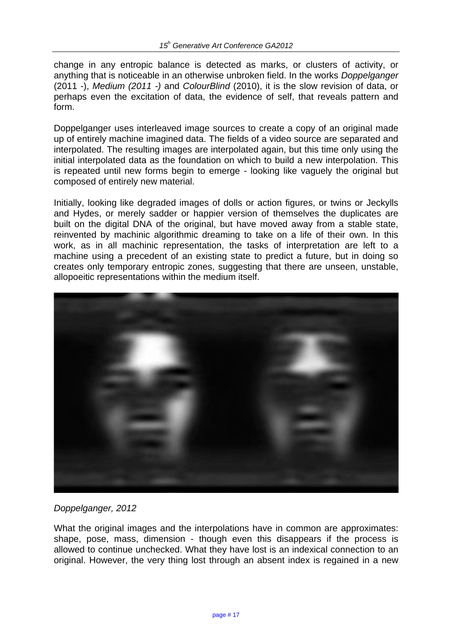change in any entropic balance is detected as marks, or clusters of activity, or anything that is noticeable in an otherwise unbroken field. In the works *Doppelganger* (2011 -), *Medium (2011 -)* and *ColourBlind* (2010), it is the slow revision of data, or perhaps even the excitation of data, the evidence of self, that reveals pattern and form.

Doppelganger uses interleaved image sources to create a copy of an original made up of entirely machine imagined data. The fields of a video source are separated and interpolated. The resulting images are interpolated again, but this time only using the initial interpolated data as the foundation on which to build a new interpolation. This is repeated until new forms begin to emerge - looking like vaguely the original but composed of entirely new material.

Initially, looking like degraded images of dolls or action figures, or twins or Jeckylls and Hydes, or merely sadder or happier version of themselves the duplicates are built on the digital DNA of the original, but have moved away from a stable state, reinvented by machinic algorithmic dreaming to take on a life of their own. In this work, as in all machinic representation, the tasks of interpretation are left to a machine using a precedent of an existing state to predict a future, but in doing so creates only temporary entropic zones, suggesting that there are unseen, unstable, allopoeitic representations within the medium itself.



### *Doppelganger, 2012*

What the original images and the interpolations have in common are approximates: shape, pose, mass, dimension - though even this disappears if the process is allowed to continue unchecked. What they have lost is an indexical connection to an original. However, the very thing lost through an absent index is regained in a new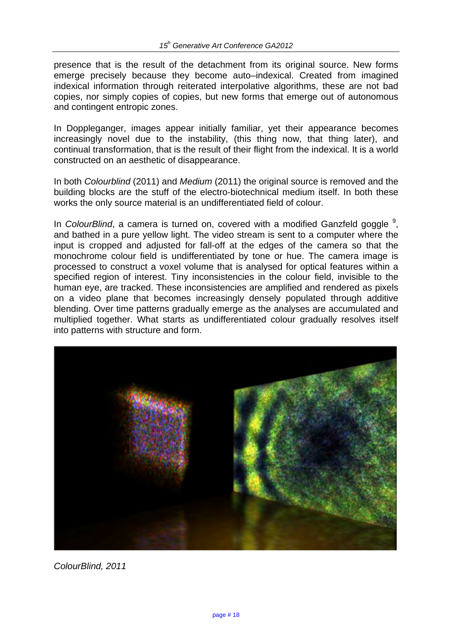presence that is the result of the detachment from its original source. New forms emerge precisely because they become auto–indexical. Created from imagined indexical information through reiterated interpolative algorithms, these are not bad copies, nor simply copies of copies, but new forms that emerge out of autonomous and contingent entropic zones.

In Doppleganger, images appear initially familiar, yet their appearance becomes increasingly novel due to the instability, (this thing now, that thing later), and continual transformation, that is the result of their flight from the indexical. It is a world constructed on an aesthetic of disappearance.

In both *Colourblind* (2011) and *Medium* (2011) the original source is removed and the building blocks are the stuff of the electro-biotechnical medium itself. In both these works the only source material is an undifferentiated field of colour.

In *ColourBlind*, a camera is turned on, covered with a modified Ganzfeld goggle <sup>9</sup>, and bathed in a pure yellow light. The video stream is sent to a computer where the input is cropped and adjusted for fall-off at the edges of the camera so that the monochrome colour field is undifferentiated by tone or hue. The camera image is processed to construct a voxel volume that is analysed for optical features within a specified region of interest. Tiny inconsistencies in the colour field, invisible to the human eye, are tracked. These inconsistencies are amplified and rendered as pixels on a video plane that becomes increasingly densely populated through additive blending. Over time patterns gradually emerge as the analyses are accumulated and multiplied together. What starts as undifferentiated colour gradually resolves itself into patterns with structure and form.



*ColourBlind, 2011*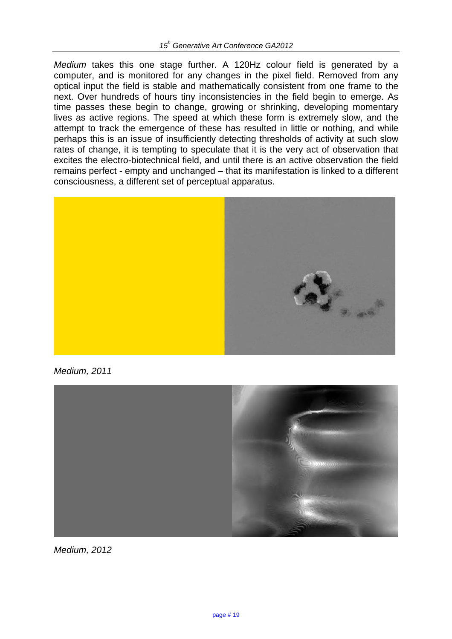*Medium* takes this one stage further. A 120Hz colour field is generated by a computer, and is monitored for any changes in the pixel field. Removed from any optical input the field is stable and mathematically consistent from one frame to the next. Over hundreds of hours tiny inconsistencies in the field begin to emerge. As time passes these begin to change, growing or shrinking, developing momentary lives as active regions. The speed at which these form is extremely slow, and the attempt to track the emergence of these has resulted in little or nothing, and while perhaps this is an issue of insufficiently detecting thresholds of activity at such slow rates of change, it is tempting to speculate that it is the very act of observation that excites the electro-biotechnical field, and until there is an active observation the field remains perfect - empty and unchanged – that its manifestation is linked to a different consciousness, a different set of perceptual apparatus.



*Medium, 2011*



*Medium, 2012*